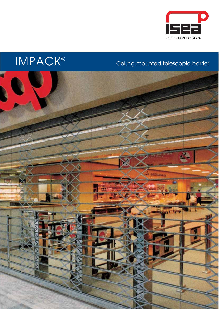

# IMPACK®

# Ceiling-mounted telescopic barrier

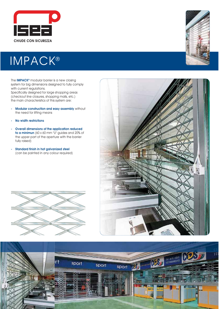

# IMPACK®

The **IMPACK®** modular barrier is a new closing system for big dimensions designed to fully comply with current regulations. Specifically designed for large shopping areas (checkout line closures, shopping malls, etc.) the main characteristics of this system are:

- **Modular construction and easy assembly** without the need for lifting means
- **No width restrictions**
- **Overall dimensions of the application reduced to a minimun** (60 x 60 mm "U" guides and 20% of the upper part of the aperture with the barrier fully raised)
- **Standard finish in hot galvanized steel** (can be painted in any colour required)







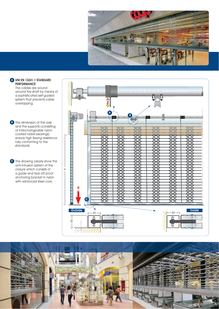

# **UNI EN 13241-1 STANDARD PERFORMANCE B**

 The cables are wound around the shaft by means of a sophisticated self-guided system that prevents cable overlapping.

B The dimension of the axle and the supports (consisting of interchangeable nylon coated radial bearings) ensure high flexing resistence fully conforming to the standards

C The drawing clearly show the anti-intrusion system of the closure which consists of a guide and tear-off proof anchoring bracket in nylon with reinforced steel core.



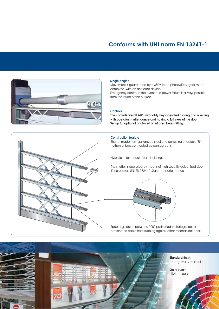## **Conforms with UNI norm EN 13241-1**



#### **Single engine**

Movement is guaranteed by a 380V three-phase/50 Hz gear motor complete with an anti-drop device. Emergency control in the event of a power failure is always possible from the inside or the outside.

#### **Controls**

**The controls are all 24V. Invariably key-operated closing and opening with operator in attendance and having a full view of the door. Set up for optional photocell or infrared beam fitting.**

#### **Construction feature**

Shutter made from galvanized steel and consisting of double "U" horizontal bars connected by pantographs.

Nylon joint for module/panel jointing.

The shutter is operated by means of high-security galvanized steel lifting cables. UNI EN 13241-1 Standard performance



Special guides in polyxene 1000 positioned in strategic points prevent the cable from rubbing against other mechanical parts



**CONTROLLER**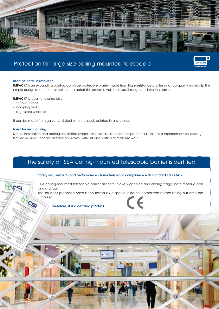

## Protection for large size ceiling-mounted telescopic

#### **Ideal for retail distribution**

**IMPACK®** is an expanding pantograph-type protective barrier made from high-resistance profiles and top quality materials. The simple design and the construction characteristics ensure a valid but see-through anti-intrusion barrier.

**IMPACK®** is ideal for closing off :

- checkout lines
- shopping malls
- large store windows.

It can be made from galvanized steel or, on request, painted in any colour.

#### **Ideal for restructuring**

S,

Simple installation and particularly limited overall dimensions also make this product suitable as a replacement for existing barriers in areas that are already operative, without any particular masonry work.

## The safety of ISEA ceiling-mounted telescopic barrier is certified

#### Safety requirements and performance characteristics in compliance with standard EN 12341-1

ISEA ceiling-mounted telescopic barrier are safe in every opening and closing stage, both motor-driven Il sistema è stato collaudato da apposita commissione esterna prima dell'immissione sul mercato. and manual.

The solutions proposed have been tested by a special external committee before being put onto the market.

**Therefore, it is a certified product.**